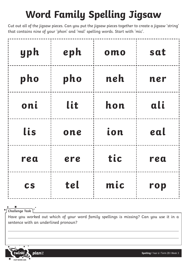## **Word Family Spelling Jigsaw**

Cut out all of the jigsaw pieces. Can you put the jigsaw pieces together to create a jigsaw 'string' that contains nine of your 'phon' and 'real' spelling words. Start with 'mic'.

| yph       | eph | omo | sat |
|-----------|-----|-----|-----|
| pho       | pho | neh | ner |
| oni       | lit | hon | ali |
| lis       | one | ion | eal |
| rea       | ere | tic | rea |
| <b>CS</b> | tel | mic | rop |

 $\blacktriangleright$ **Challenge Task**

Have you worked out which of your word family spellings is missing? Can you use it in a sentence with an underlined pronoun?



**Spelling** | Year 6 | Term 2B | Week 3